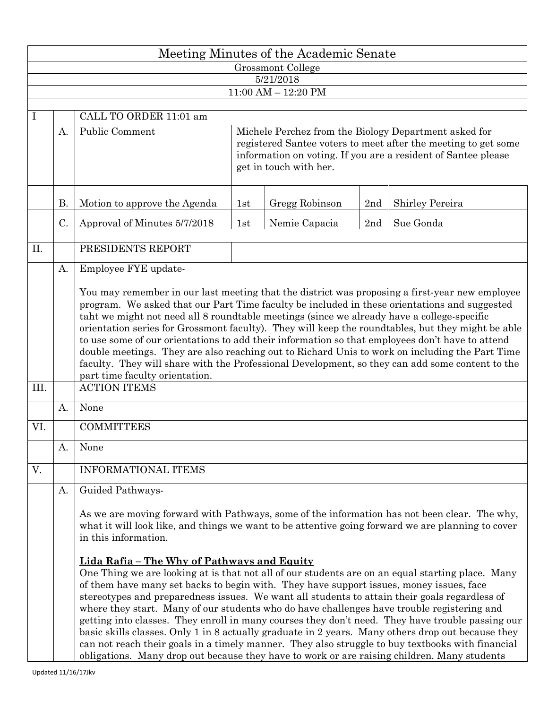| Meeting Minutes of the Academic Senate |           |                                                                                                                                                                                                                                                                                                                                                                                                                                                                                                                                                                                                                                                                                                                                                                                                                                                                                                                                                                                                                                                                                                        |                                                                                                                                                                                                                    |                |     |                 |  |  |  |  |  |  |
|----------------------------------------|-----------|--------------------------------------------------------------------------------------------------------------------------------------------------------------------------------------------------------------------------------------------------------------------------------------------------------------------------------------------------------------------------------------------------------------------------------------------------------------------------------------------------------------------------------------------------------------------------------------------------------------------------------------------------------------------------------------------------------------------------------------------------------------------------------------------------------------------------------------------------------------------------------------------------------------------------------------------------------------------------------------------------------------------------------------------------------------------------------------------------------|--------------------------------------------------------------------------------------------------------------------------------------------------------------------------------------------------------------------|----------------|-----|-----------------|--|--|--|--|--|--|
| Grossmont College                      |           |                                                                                                                                                                                                                                                                                                                                                                                                                                                                                                                                                                                                                                                                                                                                                                                                                                                                                                                                                                                                                                                                                                        |                                                                                                                                                                                                                    |                |     |                 |  |  |  |  |  |  |
| 5/21/2018<br>$11:00$ AM $- 12:20$ PM   |           |                                                                                                                                                                                                                                                                                                                                                                                                                                                                                                                                                                                                                                                                                                                                                                                                                                                                                                                                                                                                                                                                                                        |                                                                                                                                                                                                                    |                |     |                 |  |  |  |  |  |  |
|                                        |           |                                                                                                                                                                                                                                                                                                                                                                                                                                                                                                                                                                                                                                                                                                                                                                                                                                                                                                                                                                                                                                                                                                        |                                                                                                                                                                                                                    |                |     |                 |  |  |  |  |  |  |
| I                                      |           | CALL TO ORDER 11:01 am                                                                                                                                                                                                                                                                                                                                                                                                                                                                                                                                                                                                                                                                                                                                                                                                                                                                                                                                                                                                                                                                                 |                                                                                                                                                                                                                    |                |     |                 |  |  |  |  |  |  |
|                                        | A.        | Public Comment                                                                                                                                                                                                                                                                                                                                                                                                                                                                                                                                                                                                                                                                                                                                                                                                                                                                                                                                                                                                                                                                                         | Michele Perchez from the Biology Department asked for<br>registered Santee voters to meet after the meeting to get some<br>information on voting. If you are a resident of Santee please<br>get in touch with her. |                |     |                 |  |  |  |  |  |  |
|                                        | <b>B.</b> | Motion to approve the Agenda                                                                                                                                                                                                                                                                                                                                                                                                                                                                                                                                                                                                                                                                                                                                                                                                                                                                                                                                                                                                                                                                           | 1st                                                                                                                                                                                                                | Gregg Robinson | 2nd | Shirley Pereira |  |  |  |  |  |  |
|                                        | C.        | Approval of Minutes 5/7/2018                                                                                                                                                                                                                                                                                                                                                                                                                                                                                                                                                                                                                                                                                                                                                                                                                                                                                                                                                                                                                                                                           | 1st                                                                                                                                                                                                                | Nemie Capacia  | 2nd | Sue Gonda       |  |  |  |  |  |  |
| Π.                                     |           | PRESIDENTS REPORT                                                                                                                                                                                                                                                                                                                                                                                                                                                                                                                                                                                                                                                                                                                                                                                                                                                                                                                                                                                                                                                                                      |                                                                                                                                                                                                                    |                |     |                 |  |  |  |  |  |  |
|                                        | A.        | Employee FYE update-                                                                                                                                                                                                                                                                                                                                                                                                                                                                                                                                                                                                                                                                                                                                                                                                                                                                                                                                                                                                                                                                                   |                                                                                                                                                                                                                    |                |     |                 |  |  |  |  |  |  |
| III.                                   |           | You may remember in our last meeting that the district was proposing a first-year new employee<br>program. We asked that our Part Time faculty be included in these orientations and suggested<br>taht we might not need all 8 roundtable meetings (since we already have a college-specific<br>orientation series for Grossmont faculty). They will keep the roundtables, but they might be able<br>to use some of our orientations to add their information so that employees don't have to attend<br>double meetings. They are also reaching out to Richard Unis to work on including the Part Time<br>faculty. They will share with the Professional Development, so they can add some content to the<br>part time faculty orientation.                                                                                                                                                                                                                                                                                                                                                            |                                                                                                                                                                                                                    |                |     |                 |  |  |  |  |  |  |
|                                        |           | <b>ACTION ITEMS</b>                                                                                                                                                                                                                                                                                                                                                                                                                                                                                                                                                                                                                                                                                                                                                                                                                                                                                                                                                                                                                                                                                    |                                                                                                                                                                                                                    |                |     |                 |  |  |  |  |  |  |
|                                        | A.        | None                                                                                                                                                                                                                                                                                                                                                                                                                                                                                                                                                                                                                                                                                                                                                                                                                                                                                                                                                                                                                                                                                                   |                                                                                                                                                                                                                    |                |     |                 |  |  |  |  |  |  |
| VI.                                    |           | <b>COMMITTEES</b>                                                                                                                                                                                                                                                                                                                                                                                                                                                                                                                                                                                                                                                                                                                                                                                                                                                                                                                                                                                                                                                                                      |                                                                                                                                                                                                                    |                |     |                 |  |  |  |  |  |  |
|                                        | A.        | None                                                                                                                                                                                                                                                                                                                                                                                                                                                                                                                                                                                                                                                                                                                                                                                                                                                                                                                                                                                                                                                                                                   |                                                                                                                                                                                                                    |                |     |                 |  |  |  |  |  |  |
| V.                                     |           | <b>INFORMATIONAL ITEMS</b>                                                                                                                                                                                                                                                                                                                                                                                                                                                                                                                                                                                                                                                                                                                                                                                                                                                                                                                                                                                                                                                                             |                                                                                                                                                                                                                    |                |     |                 |  |  |  |  |  |  |
|                                        | А.        | Guided Pathways-<br>As we are moving forward with Pathways, some of the information has not been clear. The why,<br>what it will look like, and things we want to be attentive going forward we are planning to cover<br>in this information.<br>Lida Rafia - The Why of Pathways and Equity<br>One Thing we are looking at is that not all of our students are on an equal starting place. Many<br>of them have many set backs to begin with. They have support issues, money issues, face<br>stereotypes and preparedness issues. We want all students to attain their goals regardless of<br>where they start. Many of our students who do have challenges have trouble registering and<br>getting into classes. They enroll in many courses they don't need. They have trouble passing our<br>basic skills classes. Only 1 in 8 actually graduate in 2 years. Many others drop out because they<br>can not reach their goals in a timely manner. They also struggle to buy textbooks with financial<br>obligations. Many drop out because they have to work or are raising children. Many students |                                                                                                                                                                                                                    |                |     |                 |  |  |  |  |  |  |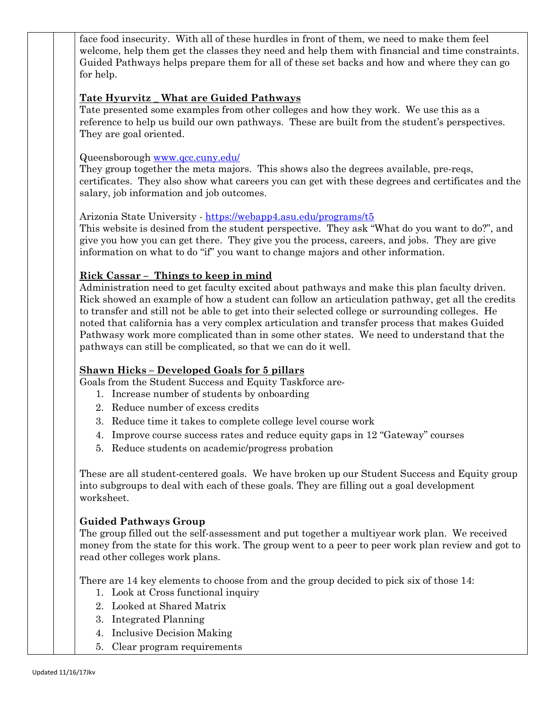face food insecurity. With all of these hurdles in front of them, we need to make them feel welcome, help them get the classes they need and help them with financial and time constraints. Guided Pathways helps prepare them for all of these set backs and how and where they can go for help.

## **Tate Hyurvitz \_ What are Guided Pathways**

Tate presented some examples from other colleges and how they work. We use this as a reference to help us build our own pathways. These are built from the student's perspectives. They are goal oriented.

#### Queensborough [www.qcc.cuny.edu/](http://www.qcc.cuny.edu/)

They group together the meta majors. This shows also the degrees available, pre-reqs, certificates. They also show what careers you can get with these degrees and certificates and the salary, job information and job outcomes.

#### Arizonia State University - <https://webapp4.asu.edu/programs/t5>

This website is desined from the student perspective. They ask "What do you want to do?", and give you how you can get there. They give you the process, careers, and jobs. They are give information on what to do "if" you want to change majors and other information.

## **Rick Cassar – Things to keep in mind**

Administration need to get faculty excited about pathways and make this plan faculty driven. Rick showed an example of how a student can follow an articulation pathway, get all the credits to transfer and still not be able to get into their selected college or surrounding colleges. He noted that california has a very complex articulation and transfer process that makes Guided Pathwasy work more complicated than in some other states. We need to understand that the pathways can still be complicated, so that we can do it well.

## **Shawn Hicks – Developed Goals for 5 pillars**

Goals from the Student Success and Equity Taskforce are-

- 1. Increase number of students by onboarding
- 2. Reduce number of excess credits
- 3. Reduce time it takes to complete college level course work
- 4. Improve course success rates and reduce equity gaps in 12 "Gateway" courses
- 5. Reduce students on academic/progress probation

These are all student-centered goals. We have broken up our Student Success and Equity group into subgroups to deal with each of these goals. They are filling out a goal development worksheet.

## **Guided Pathways Group**

The group filled out the self-assessment and put together a multiyear work plan. We received money from the state for this work. The group went to a peer to peer work plan review and got to read other colleges work plans.

There are 14 key elements to choose from and the group decided to pick six of those 14:

- 1. Look at Cross functional inquiry
- 2. Looked at Shared Matrix
- 3. Integrated Planning
- 4. Inclusive Decision Making
- 5. Clear program requirements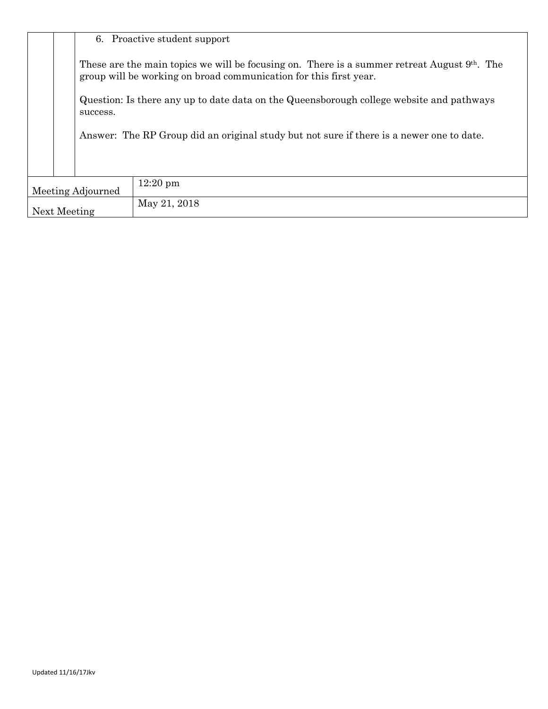6. Proactive student support These are the main topics we will be focusing on. There is a summer retreat August 9<sup>th</sup>. The group will be working on broad communication for this first year. Question: Is there any up to date data on the Queensborough college website and pathways success. Answer: The RP Group did an original study but not sure if there is a newer one to date. Meeting Adjourned 12:20 pm Next Meeting May 21, 2018